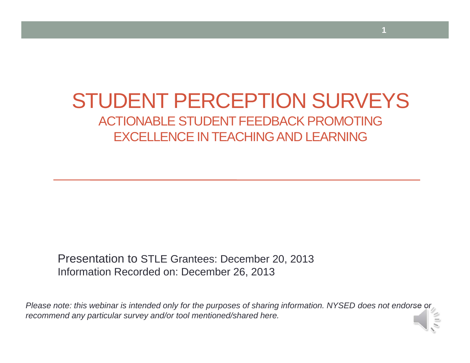#### STUDENT PERCEPTION SURVEYS ACTIONABLE STUDENT FEEDBACK PROMOTINGEXCELLENCE IN TEACHING AND LEARNING

**1**

Presentation to STLE Grantees: December 20, 2013 Information Recorded on: December 26, 2013

*Please note: this webinar is intended only for the purposes of sharing information. NYSED does not endorse or recommend any particular survey and/or tool mentioned/shared here.*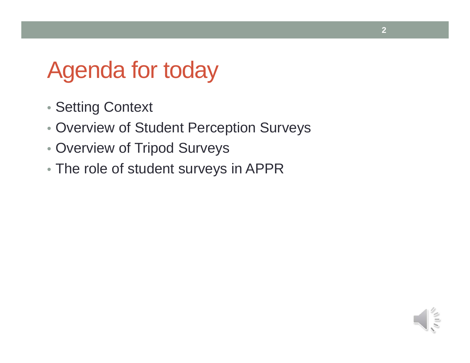# Agenda for today

- Setting Context
- Overview of Student Perception Surveys
- Overview of Tripod Surveys
- The role of student surveys in APPR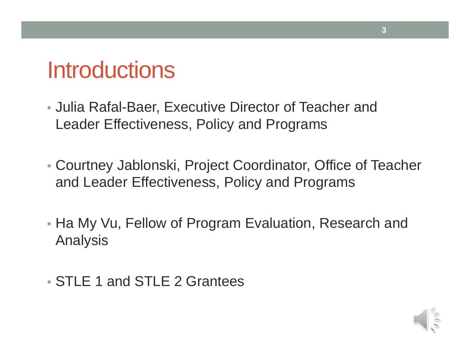# Introductions

- Julia Rafal-Baer, Executive Director of Teacher and Leader Effectiveness, Policy and Programs
- Courtney Jablonski, Project Coordinator, Office of Teacher and Leader Effectiveness, Policy and Programs
- Ha My Vu, Fellow of Program Evaluation, Research and Analysis
- STLE 1 and STLE 2 Grantees

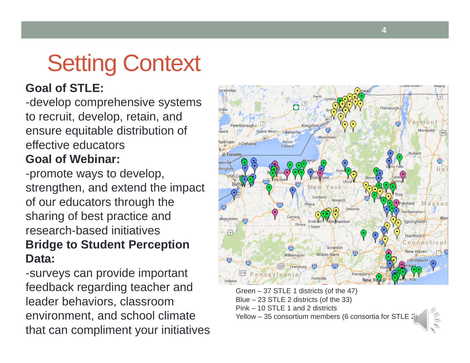# Setting Context

#### **Goal of STLE:**

-develop comprehensive systems to recruit, develop, retain, and ensure equitable distribution of effective educators**Goal of Webinar:**

-promote ways to develop, strengthen, and extend the impact of our educators through the sharing of best practice and research-based initiatives**Bridge to Student Perception Data:** 

-surveys can provide important feedback regarding teacher and leader behaviors, classroom environment, and school climate that can compliment your initiatives



Green – 37 STLE 1 districts (of the 47) Blue – 23 STLE 2 districts (of the 33) Pink – 10 STLE 1 and 2 districtsYellow – 35 consortium members (6 consortia for STLE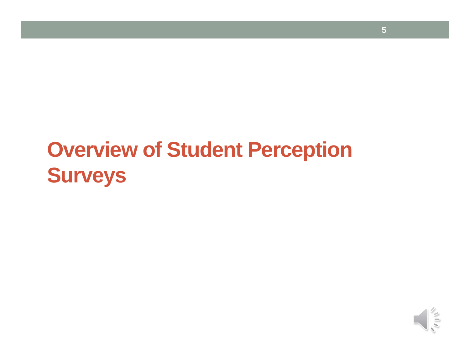# **Overview of Student Perception Surveys**

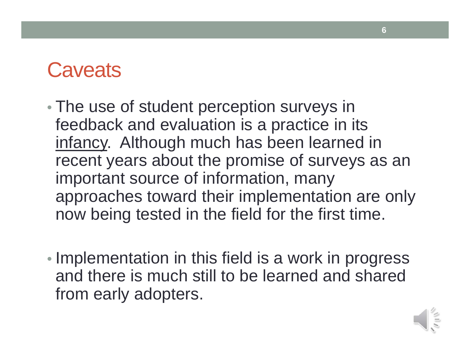#### **Caveats**

- • The use of student perception surveys in feedback and evaluation is a practice in its infancy. Although much has been learned in recent years about the promise of surveys as an important source of information, many approaches toward their implementation are only now being tested in the field for the first time.
- •• Implementation in this field is a work in progress and there is much still to be learned and shared from early adopters.

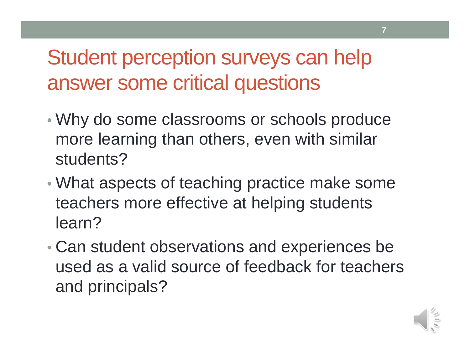Student perception surveys can help answer some critical questions

- Why do some classrooms or schools produce more learning than others, even with similar students?
- • What aspects of teaching practice make some teachers more effective at helping students learn?
- • Can student observations and experiences be used as a valid source of feedback for teachers and principals?



**7**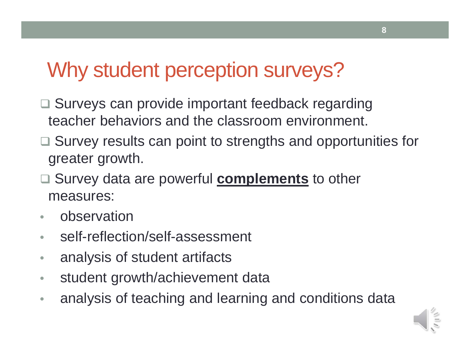## Why student perception surveys?

- □ Surveys can provide important feedback regarding teacher behaviors and the classroom environment.
- □ Survey results can point to strengths and opportunities for greater growth.
- □ Survey data are powerful **complements** to other measures:
- $\bullet$ observation
- $\bullet$ self-reflection/self-assessment
- $\bullet$ analysis of student artifacts
- $\bullet$ student growth/achievement data
- $\bullet$ analysis of teaching and learning and conditions data

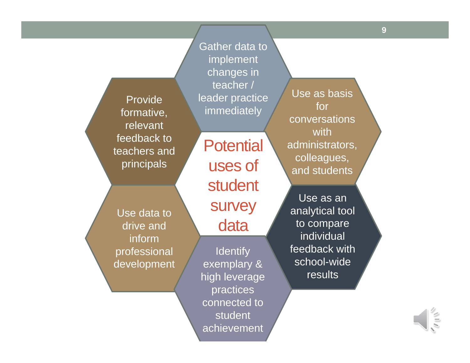Use as an analytical tool to compare individual feedback with school-wide results Provide formative, relevant feedback to teachers and principals Gather data to implement changes in teacher / leader practice immediately Use as basis for conversations with administrators, colleagues, and students Use data to drive and inform professional development **Potential** uses of student survey data **Identify** exemplary & high leverage practices connected to **9**

student

achievement

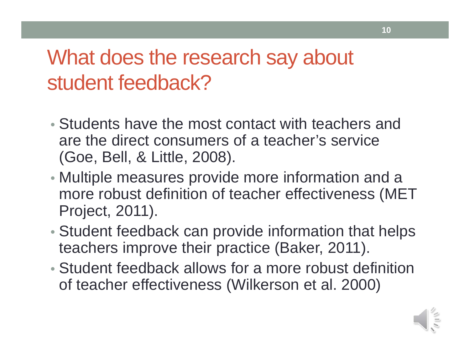# What does the research say about student feedback?

- Students have the most contact with teachers and are the direct consumers of a teacher's service (Goe, Bell, & Little, 2008).
- Multiple measures provide more information and a more robust definition of teacher effectiveness (MET Project, 2011).
- Student feedback can provide information that helps teachers improve their practice (Baker, 2011).
- Student feedback allows for a more robust definition of teacher effectiveness (Wilkerson et al. 2000)

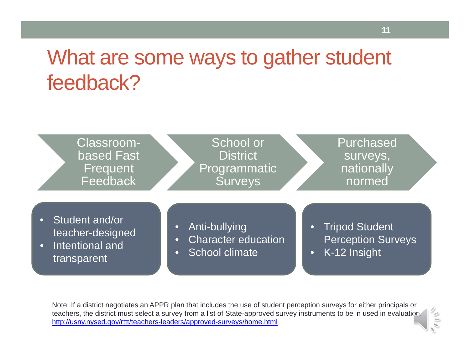## What are some ways to gather student feedback?



Note: If a district negotiates an APPR plan that includes the use of student perception surveys for either principals or teachers, the district must select a survey from a list of State-approved survey instruments to be in used in evaluation. http://usny.nysed.gov/rttt/teachers-leaders/approved-surveys/home.html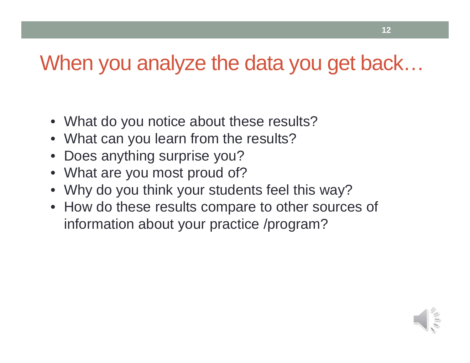### When you analyze the data you get back…

- What do you notice about these results?
- What can you learn from the results?
- Does anything surprise you?
- What are you most proud of?
- Why do you think your students feel this way?
- How do these results compare to other sources of information about your practice /program?

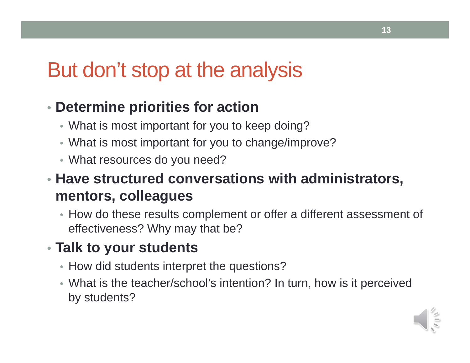### But don't stop at the analysis

#### • **Determine priorities for action**

- What is most important for you to keep doing?
- What is most important for you to change/improve?
- What resources do you need?

#### • **Have structured conversations with administrators, mentors, colleagues**

• How do these results complement or offer a different assessment of effectiveness? Why may that be?

#### • **Talk to your students**

- How did students interpret the questions?
- What is the teacher/school's intention? In turn, how is it perceived by students?

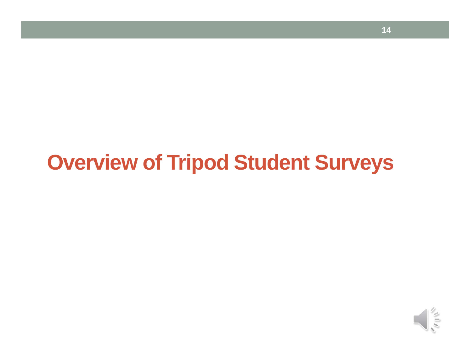## **Overview of Tripod Student Surveys**

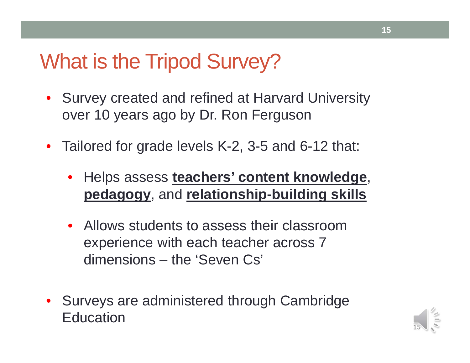#### What is the Tripod Survey?

- Survey created and refined at Harvard University over 10 years ago by Dr. Ron Ferguson
- Tailored for grade levels K-2, 3-5 and 6-12 that:
	- Helps assess **teachers' content knowledge**, **pedagogy**, and **relationship-building skills**
	- Allows students to assess their classroom experience with each teacher across 7 dimensions – the 'Seven Cs'
- Surveys are administered through Cambridge **Education**

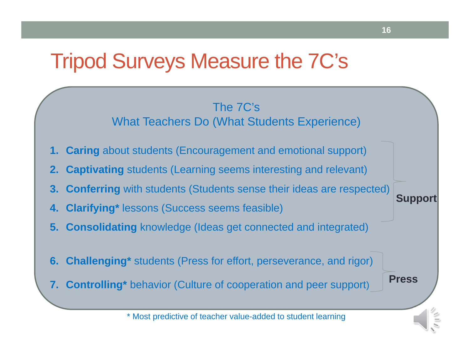#### Tripod Surveys Measure the 7C's

#### The 7C's What Teachers Do (What Students Experience)

- **1. Caring** about students (Encouragement and emotional support)
- **2. Captivating** students (Learning seems interesting and relevant)
- **3. Conferring** with students (Students sense their ideas are respected)
- **4. Clarifying\*** lessons (Success seems feasible)
- **5. Consolidating** knowledge (Ideas get connected and integrated)
- **6. Challenging\*** students (Press for effort, perseverance, and rigor)
- **7. Controlling\*** behavior (Culture of cooperation and peer support)

**Press**

**Support**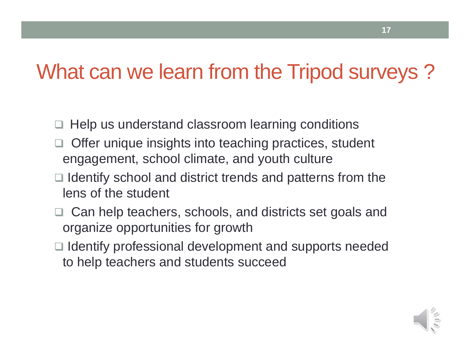### What can we learn from the Tripod surveys ?

- $\Box$ Help us understand classroom learning conditions
- $\Box$  Offer unique insights into teaching practices, student engagement, school climate, and youth culture
- $\Box$  Identify school and district trends and patterns from the lens of the student
- □ Can help teachers, schools, and districts set goals and organize opportunities for growth
- $\Box$  Identify professional development and supports needed to help teachers and students succeed

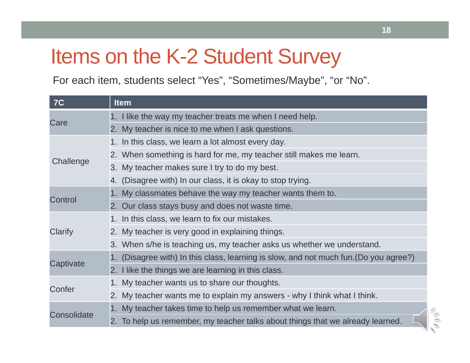## Items on the K-2 Student Survey

For each item, students select "Yes", "Sometimes/Maybe", "or "No".

| <b>7C</b>   | <b>Item</b>                                                                           |
|-------------|---------------------------------------------------------------------------------------|
| Care        | 1. I like the way my teacher treats me when I need help.                              |
|             | 2. My teacher is nice to me when I ask questions.                                     |
| Challenge   | 1. In this class, we learn a lot almost every day.                                    |
|             | 2. When something is hard for me, my teacher still makes me learn.                    |
|             | 3. My teacher makes sure I try to do my best.                                         |
|             | 4. (Disagree with) In our class, it is okay to stop trying.                           |
| Control     | 1. My classmates behave the way my teacher wants them to.                             |
|             | 2. Our class stays busy and does not waste time.                                      |
| Clarify     | 1. In this class, we learn to fix our mistakes.                                       |
|             | 2. My teacher is very good in explaining things.                                      |
|             | 3. When s/he is teaching us, my teacher asks us whether we understand.                |
| Captivate   | 1. (Disagree with) In this class, learning is slow, and not much fun. (Do you agree?) |
|             | 2. I like the things we are learning in this class.                                   |
| Confer      | 1. My teacher wants us to share our thoughts.                                         |
|             | 2. My teacher wants me to explain my answers - why I think what I think.              |
| Consolidate | 1. My teacher takes time to help us remember what we learn.                           |
|             | 2. To help us remember, my teacher talks about things that we already learned.        |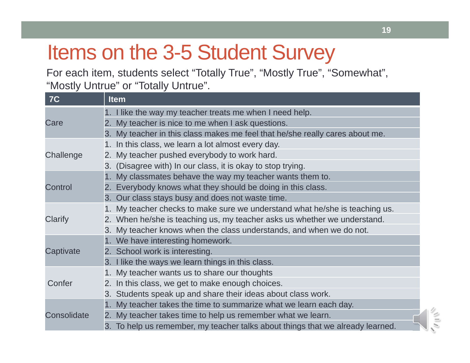# Items on the 3-5 Student Survey

For each item, students select "Totally True", "Mostly True", "Somewhat", "Mostly Untrue" or "Totally Untrue".

| <b>7C</b>   | <b>Item</b>                                                                    |
|-------------|--------------------------------------------------------------------------------|
| Care        | 1. I like the way my teacher treats me when I need help.                       |
|             | My teacher is nice to me when I ask questions.<br>2.                           |
|             | 3. My teacher in this class makes me feel that he/she really cares about me.   |
| Challenge   | 1. In this class, we learn a lot almost every day.                             |
|             | My teacher pushed everybody to work hard.<br>2.                                |
|             | 3. (Disagree with) In our class, it is okay to stop trying.                    |
| Control     | 1. My classmates behave the way my teacher wants them to.                      |
|             | 2. Everybody knows what they should be doing in this class.                    |
|             | 3. Our class stays busy and does not waste time.                               |
|             | 1. My teacher checks to make sure we understand what he/she is teaching us.    |
| Clarify     | 2. When he/she is teaching us, my teacher asks us whether we understand.       |
|             | 3. My teacher knows when the class understands, and when we do not.            |
|             | 1. We have interesting homework.                                               |
| Captivate   | 2. School work is interesting.                                                 |
|             | 3. I like the ways we learn things in this class.                              |
|             | 1. My teacher wants us to share our thoughts                                   |
| Confer      | 2. In this class, we get to make enough choices.                               |
|             | 3. Students speak up and share their ideas about class work.                   |
|             | 1. My teacher takes the time to summarize what we learn each day.              |
| Consolidate | 2. My teacher takes time to help us remember what we learn.                    |
|             | 3. To help us remember, my teacher talks about things that we already learned. |

 $||\cdot||$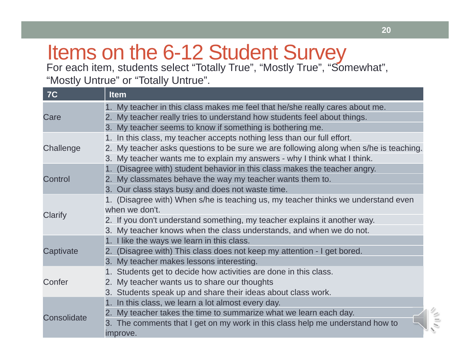# Items on the 6-12 Student Survey

For each item, students select "Totally True", "Mostly True", "Somewhat", "Mostly Untrue" or "Totally Untrue".

| <b>7C</b>   | <b>Item</b>                                                                              |
|-------------|------------------------------------------------------------------------------------------|
| Care        | 1. My teacher in this class makes me feel that he/she really cares about me.             |
|             | 2. My teacher really tries to understand how students feel about things.                 |
|             | 3. My teacher seems to know if something is bothering me.                                |
| Challenge   | 1. In this class, my teacher accepts nothing less than our full effort.                  |
|             | My teacher asks questions to be sure we are following along when s/he is teaching.<br>2. |
|             | 3. My teacher wants me to explain my answers - why I think what I think.                 |
|             | (Disagree with) student behavior in this class makes the teacher angry.<br>$1_{-}$       |
| Control     | 2. My classmates behave the way my teacher wants them to.                                |
|             | 3. Our class stays busy and does not waste time.                                         |
|             | 1. (Disagree with) When s/he is teaching us, my teacher thinks we understand even        |
| Clarify     | when we don't.                                                                           |
|             | 2. If you don't understand something, my teacher explains it another way.                |
|             | 3. My teacher knows when the class understands, and when we do not.                      |
|             | 1. I like the ways we learn in this class.                                               |
| Captivate   | 2. (Disagree with) This class does not keep my attention - I get bored.                  |
|             | 3. My teacher makes lessons interesting.                                                 |
|             | 1. Students get to decide how activities are done in this class.                         |
| Confer      | 2. My teacher wants us to share our thoughts                                             |
|             | 3. Students speak up and share their ideas about class work.                             |
| Consolidate | 1. In this class, we learn a lot almost every day.                                       |
|             | 2. My teacher takes the time to summarize what we learn each day.                        |
|             | 3. The comments that I get on my work in this class help me understand how to            |
|             | improve.                                                                                 |

 $\frac{1}{2}$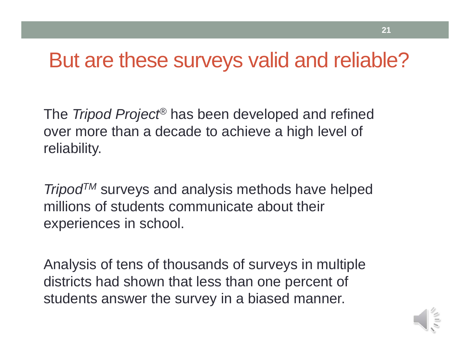### But are these surveys valid and reliable?

The *Tripod Project*® has been developed and refined over more than a decade to achieve a high level of reliability.

**Tripod<sup>TM</sup>** surveys and analysis methods have helped millions of students communicate about their experiences in school.

Analysis of tens of thousands of surveys in multiple districts had shown that less than one percent of students answer the survey in a biased manner.

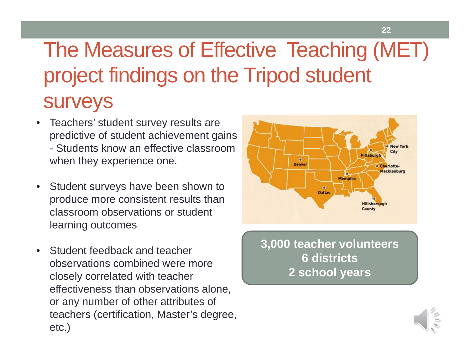# The Measures of Effective Teaching (MET) project findings on the Tripod student surveys

- $\bullet$  Teachers' student survey results are predictive of student achievement gains - Students know an effective classroom when they experience one.
- $\bullet$  Student surveys have been shown to produce more consistent results than classroom observations or student learning outcomes
- $\bullet$  Student feedback and teacher observations combined were more closely correlated with teacher effectiveness than observations alone, or any number of other attributes of teachers (certification, Master's degree, etc.)



**22**

**3,000 teacher volunteers 6 districts 2 school years**

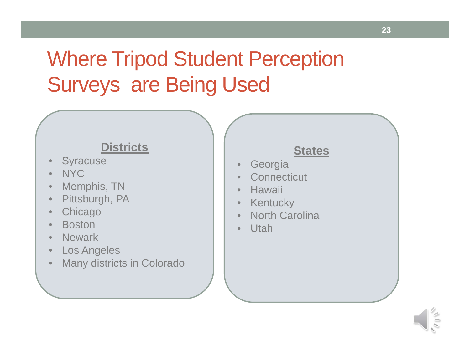# Where Tripod Student Perception Surveys are Being Used

#### **Districts**

- •Syracuse
- •NYC
- •Memphis, TN
- $\bullet$ Pittsburgh, PA
- $\bullet$ **Chicago**
- •Boston
- •**Newark**
- $\bullet$ Los Angeles
- •Many districts in Colorado

#### **States**

- •Georgia
- •**Connecticut**
- •Hawaii
- $\bullet$ **Kentucky**
- •North Carolina
- •Utah

**23**

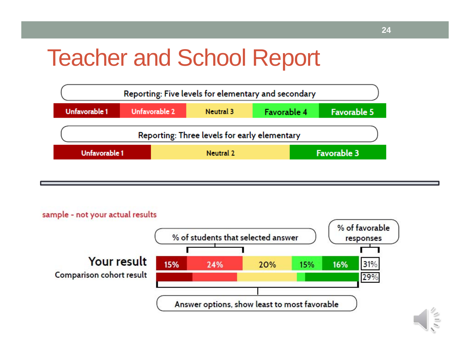# Teacher and School Report





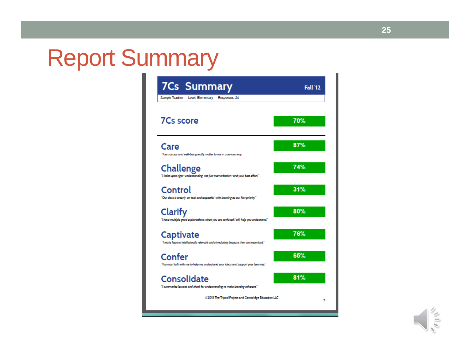# Report Summary



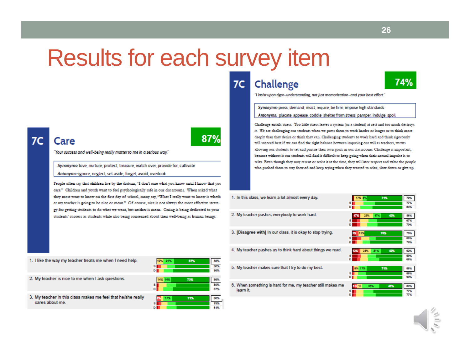# Results for each survey item

87%

#### Care

"Your success and well-being really matter to me in a serious way."

Synonyms: love, nurture, protect, treasure, watch over, provide for, cultivate Antonyms: ignore, neglect, set aside, forget, avoid, overlook

People often say that children live by the dictum, "I don't care what you know until I know that you care." Children and youth want to feel psychologically safe in our classrooms. When asked what they most want to know on the first day of school, many say, "What I really want to know is wheth er my teacher is going to be nice or mean." Of course, nice is not always the most effective strategy for getting students to do what we want, but neither is mean. Caring is being dedicated to your students' success as students while also being concerned about their well-being as human beings.

#### Challenge 7C



"I insist upon rigor-understanding, not just memorization-and your best effort."

Synonyms: press, demand, insist, require, be firm, impose high standards Antonyms: placate, appease, coddle, shelter from stress, pamper, indulge, spoil

Challenge entails stress. Too little stress leaves a system (or a student) at rest and too much destroys it. We are challenging our students when we press them to work harder or longer or to think more deeply than they desire or think they can. Challenging students to work hard and think rigorously will succeed best if we can find the right balance between imposing our will as teachers, versus allowing our students to set and pursue their own goals in our classrooms. Challenge is important, because without it our students will find it difficult to keep going when their natural impulse is to relax. Even though they may resent or resist it at the time, they will later respect and value the people who pushed them to stay focused and keep trying when they wanted to relax, slow down or give up.

| 1. In this class, we learn a lot almost every day.                       | 71%<br>17% 8%<br>s i<br>Ð | 79%<br>77%<br>84% |
|--------------------------------------------------------------------------|---------------------------|-------------------|
| 2. My teacher pushes everybody to work hard.                             | 25%<br>42%<br>17%<br>17%  | 58%<br>67%<br>70% |
| 3. [Disagree with] In our class, it is okay to stop trying.              | 75%<br>12%                | 75%<br>66%<br>79% |
| 4. My teacher pushes us to think hard about things we read.              | 21%<br>21%<br>42%         | 62%<br>69%<br>68% |
| 5. My teacher makes sure that I try to do my best.                       | 17%<br>714<br>s           | 88%<br>88%<br>90% |
| 6. When something is hard for me, my teacher still makes me<br>learn it. | 45%<br>35%<br>55110<br>n  | 80%<br>77%<br>77% |

| 1. I like the way my teacher treats me when I need help.                        | 21%<br>12%<br>8<br>D I | 88%<br>80%<br>88% |
|---------------------------------------------------------------------------------|------------------------|-------------------|
| 2. My teacher is nice to me when I ask questions.                               | 73%<br>14%             | 88%<br>80%<br>87% |
| 3. My teacher in this class makes me feel that he/she really<br>cares about me. | 71%                    |                   |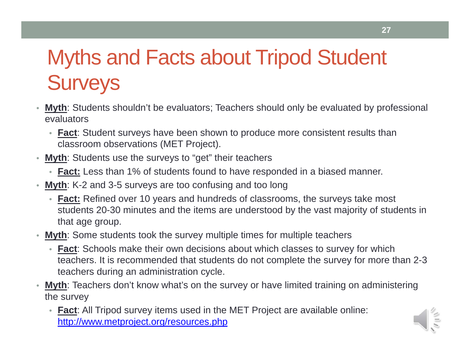# Myths and Facts about Tripod Student **Surveys**

- **Myth**: Students shouldn't be evaluators; Teachers should only be evaluated by professional evaluators
	- **Fact**: Student surveys have been shown to produce more consistent results than classroom observations (MET Project).
- **Myth**: Students use the surveys to "get" their teachers
	- **Fact:** Less than 1% of students found to have responded in a biased manner.
- **Myth**: K-2 and 3-5 surveys are too confusing and too long
	- **Fact:** Refined over 10 years and hundreds of classrooms, the surveys take most students 20-30 minutes and the items are understood by the vast majority of students in that age group.
- **Myth**: Some students took the survey multiple times for multiple teachers
	- **Fact**: Schools make their own decisions about which classes to survey for which teachers. It is recommended that students do not complete the survey for more than 2-3 teachers during an administration cycle.
- • **Myth**: Teachers don't know what's on the survey or have limited training on administering the survey
	- **Fact**: All Tripod survey items used in the MET Project are available online: http://www.metproject.org/resources.php

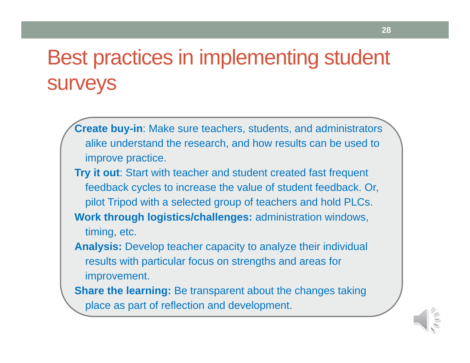# Best practices in implementing student surveys

**Create buy-in**: Make sure teachers, students, and administrators alike understand the research, and how results can be used to improve practice. **Try it out**: Start with teacher and student created fast frequent feedback cycles to increase the value of student feedback. Or, pilot Tripod with a selected group of teachers and hold PLCs. **Work through logistics/challenges:** administration windows, timing, etc. **Analysis:** Develop teacher capacity to analyze their individual results with particular focus on strengths and areas for improvement. **Share the learning:** Be transparent about the changes taking

place as part of reflection and development.

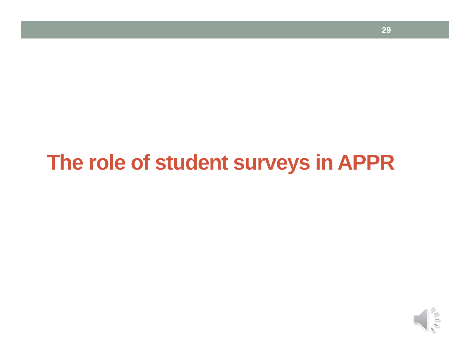### **The role of student surveys in APPR**

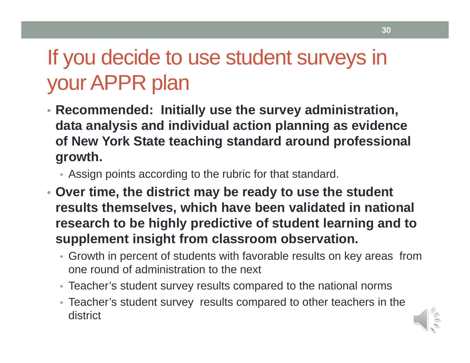# If you decide to use student surveys in your APPR plan

- **Recommended: Initially use the survey administration, data analysis and individual action planning as evidence of New York State teaching standard around professional growth.** 
	- Assign points according to the rubric for that standard.
- **Over time, the district may be ready to use the student results themselves, which have been validated in national research to be highly predictive of student learning and to supplement insight from classroom observation.** 
	- Growth in percent of students with favorable results on key areas from one round of administration to the next
	- Teacher's student survey results compared to the national norms
	- Teacher's student survey results compared to other teachers in the district